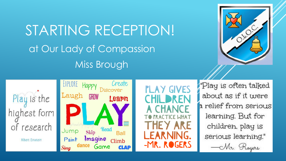# STARTING RECEPTION! at Our Lady of Compassion Miss Brough



Play is the highest form of research

Albert Einstein



**PLAY GIVES HILDREN CHANCE CTICE WHAT HEY ARE LEARNING** -MR. ROGERS Play is often talked about as if it were a relief from serious learning. But for children, play is serious learning." -Mr. Rogers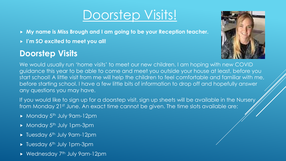## Doorstep Visits!

- **My name is Miss Brough and I am going to be your Reception teacher.**
- **I'm SO excited to meet you all!**

#### **Doorstep Visits**



We would usually run 'home visits' to meet our new children. I am hoping with new COVID guidance this year to be able to come and meet you outside your house at least, before you start school! A little visit from me will help the children to feel comfortable and familiar with me, before starting school. I have a few little bits of information to drop off and hopefully answer any questions you may have.

If you would like to sign up for a doorstep visit, sign up sheets will be available in the Nursery from Monday 21st June. An exact time cannot be given. The time slots available are:

- $\blacktriangleright$  Monday 5<sup>th</sup> July 9am-12pm
- $\blacktriangleright$  Monday 5<sup>th</sup> July 1pm-3pm
- $\blacktriangleright$  Tuesday 6<sup>th</sup> July 9am-12pm
- $\blacktriangleright$  Tuesday 6<sup>th</sup> July 1pm-3pm
- $\blacktriangleright$  Wednesday 7<sup>th</sup> July 9am-12pm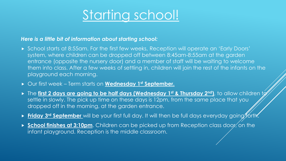# Starting school!

#### *Here is a little bit of information about starting school:*

- School starts at 8:55am. For the first few weeks, Reception will operate an 'Early Doors' system, where children can be dropped off between 8:45am-8:55am at the garden entrance (opposite the nursery door) and a member of staff will be waiting to welcome them into class. After a few weeks of settling in, children will join the rest of the infants on the playground each morning.
- Our first week Term starts on **Wednesday 1st September.**
- **First 2 days are going to be half days (Wednesday 1st & Thursday 2nd), to allow children to** settle in slowly. The pick up time on these days is 12pm, from the same place that you dropped off in the morning, at the garden entrance.
- **Friday 3<sup>rd</sup> September** will be your first full day. It will then be full days everyday going forth.
- **School finishes at 3:10pm**. Children can be picked up from Reception class door, on the infant playground. Reception is the middle classroom.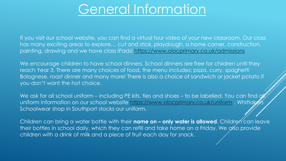### General Information

If you visit our school website, you can find a virtual tour video of your new classroom. Our class has many exciting areas to explore… cut and stick, playdough, a home corner, construction, painting, drawing and we have class iPads!<https://www.olocprimary.co.uk/admissions>

We encourage children to have school dinners. School dinners are free for children until they reach Year 3. There are many choices of food, the menu includes; pizza, curry, spaghetti Bolognese, roast dinner and many more! There is also a choice of sandwich or jacket potato if you don't want the hot choice.

We ask for all school uniform – including PE kits, ties and shoes – to be labelled. You can find of uniform information on our school website <https://www.olocprimary.co.uk/uniform> . Whittakers Schoolwear shop in Southport stocks our uniform.

Children can bring a water bottle with their **name on – only water is allowed**. Children can leave their bottles in school daily, which they can refill and take home on a Friday. We also provide children with a drink of milk and a piece of fruit each day for snack.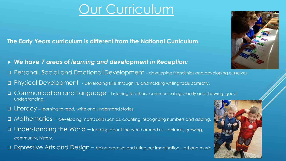# Our Curriculum

**The Early Years curriculum is different from the National Curriculum.** 

- *We have 7 areas of learning and development in Reception:*
- Personal, Social and Emotional Development developing friendships and developing ourselves.
- **Q Physical Development** Developing skills through PE and holding writing tools correctly.
- **QOMMUNICATION and Language** Listening to others, communicating clearly and showing good understanding.
- $\Box$  Literacy learning to read, write and understand stories.
- $\Box$  Mathematics developing maths skills such as, counting, recognising numbers and adding.
- □ Understanding the World learning about the world around us animals, growing, community, history.
- □ Expressive Arts and Design being creative and using our imagination art and music.



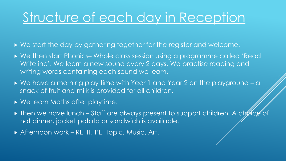### Structure of each day in Reception

▶ We start the day by gathering together for the register and welcome.

- ► We then start Phonics– Whole class session using a programme called 'Read Write inc'. We learn a new sound every 2 days. We practise reading and writing words containing each sound we learn.
- ▶ We have a morning play time with Year 1 and Year 2 on the playground a snack of fruit and milk is provided for all children.
- ► We learn Maths after playtime.
- $\triangleright$  Then we have lunch Staff are always present to support children. A choice of hot dinner, jacket potato or sandwich is available.
- ▶ Afternoon work RE, IT, PE, Topic, Music, Art.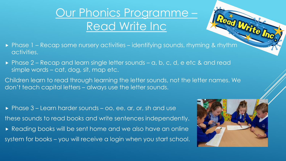#### Our Phonics Programme – Read Write Inc

- Phase 1 Recap some nursery activities identifying sounds, rhyming & rhythm activities.
- Phase 2 Recap and learn single letter sounds a, b, c, d, e etc & and read simple words – cat, dog, sit, map etc.
- Children learn to read through learning the letter sounds, not the letter names. We don't teach capital letters – always use the letter sounds.
- Phase 3 Learn harder sounds oo, ee, ar, or, sh and use these sounds to read books and write sentences independently. Reading books will be sent home and we also have an online system for books – you will receive a login when you start school.



Read Write Inc.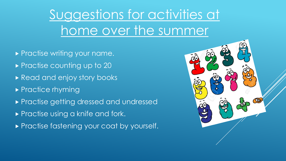# Suggestions for activities at home over the summer

- **Practise writing your name.**
- **Practise counting up to 20**
- Read and enjoy story books
- $\triangleright$  Practice rhyming
- ▶ Practise getting dressed and undressed
- Practise using a knife and fork.
- Practise fastening your coat by yourself.